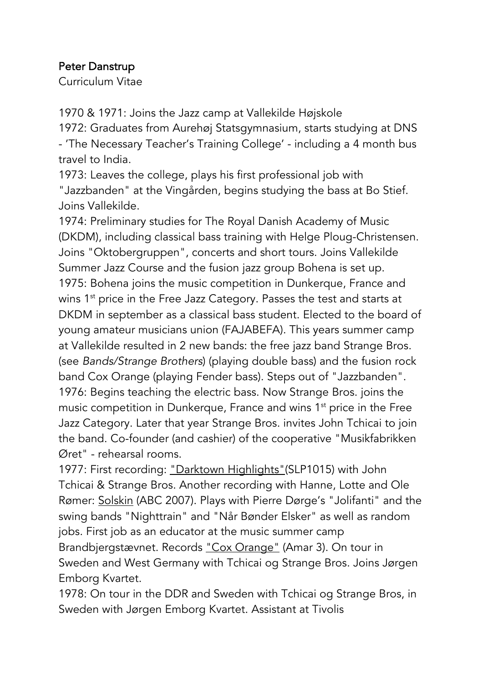## Peter Danstrup

Curriculum Vitae

1970 & 1971: Joins the Jazz camp at Vallekilde Højskole

1972: Graduates from Aurehøj Statsgymnasium, starts studying at DNS - 'The Necessary Teacher's Training College' - including a 4 month bus travel to India.

1973: Leaves the college, plays his first professional job with "Jazzbanden" at the Vingården, begins studying the bass at Bo Stief. Joins Vallekilde.

1974: Preliminary studies for The Royal Danish Academy of Music (DKDM), including classical bass training with Helge Ploug-Christensen. Joins "Oktobergruppen", concerts and short tours. Joins Vallekilde Summer Jazz Course and the fusion jazz group Bohena is set up. 1975: Bohena joins the music competition in Dunkerque, France and wins 1<sup>st</sup> price in the Free Jazz Category. Passes the test and starts at DKDM in september as a classical bass student. Elected to the board of young amateur musicians union (FAJABEFA). This years summer camp at Vallekilde resulted in 2 new bands: the free jazz band Strange Bros. (see *Bands/Strange Brothers*) (playing double bass) and the fusion rock band Cox Orange (playing Fender bass). Steps out of "Jazzbanden". 1976: Begins teaching the electric bass. Now Strange Bros. joins the music competition in Dunkerque, France and wins 1<sup>st</sup> price in the Free Jazz Category. Later that year Strange Bros. invites John Tchicai to join the band. Co-founder (and cashier) of the cooperative "Musikfabrikken Øret" - rehearsal rooms.

1977: First recording: "Darktown Highlights"(SLP1015) with John Tchicai & Strange Bros. Another recording with Hanne, Lotte and Ole Rømer: Solskin (ABC 2007). Plays with Pierre Dørge's "Jolifanti" and the swing bands "Nighttrain" and "Når Bønder Elsker" as well as random jobs. First job as an educator at the music summer camp Brandbjergstævnet. Records "Cox Orange" (Amar 3). On tour in Sweden and West Germany with Tchicai og Strange Bros. Joins Jørgen Emborg Kvartet.

1978: On tour in the DDR and Sweden with Tchicai og Strange Bros, in Sweden with Jørgen Emborg Kvartet. Assistant at Tivolis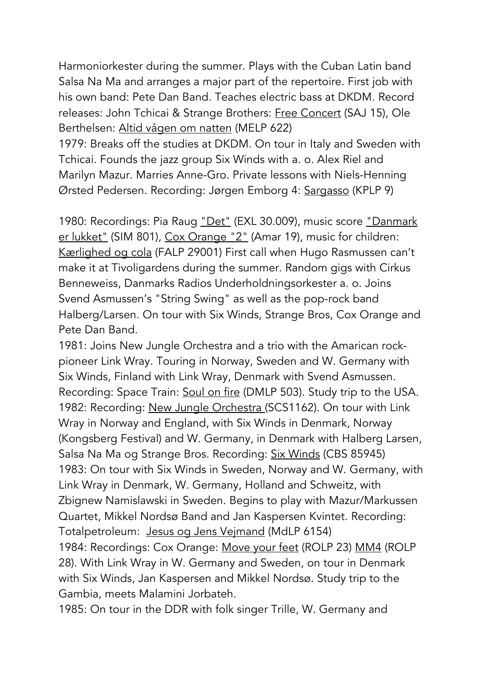Harmoniorkester during the summer. Plays with the Cuban Latin band Salsa Na Ma and arranges a major part of the repertoire. First job with his own band: Pete Dan Band. Teaches electric bass at DKDM. Record releases: John Tchicai & Strange Brothers: Free Concert (SAJ 15), Ole Berthelsen: Altid vågen om natten (MELP 622)

1979: Breaks off the studies at DKDM. On tour in Italy and Sweden with Tchicai. Founds the jazz group Six Winds with a. o. Alex Riel and Marilyn Mazur. Marries Anne-Gro. Private lessons with Niels-Henning Ørsted Pedersen. Recording: Jørgen Emborg 4: Sargasso (KPLP 9)

1980: Recordings: Pia Raug "Det" (EXL 30.009), music score "Danmark er lukket" (SIM 801), Cox Orange "2" (Amar 19), music for children: Kærlighed og cola (FALP 29001) First call when Hugo Rasmussen can't make it at Tivoligardens during the summer. Random gigs with Cirkus Benneweiss, Danmarks Radios Underholdningsorkester a. o. Joins Svend Asmussen's "String Swing" as well as the pop-rock band Halberg/Larsen. On tour with Six Winds, Strange Bros, Cox Orange and Pete Dan Band.

1981: Joins New Jungle Orchestra and a trio with the Amarican rockpioneer Link Wray. Touring in Norway, Sweden and W. Germany with Six Winds, Finland with Link Wray, Denmark with Svend Asmussen. Recording: Space Train: Soul on fire (DMLP 503). Study trip to the USA. 1982: Recording: New Jungle Orchestra (SCS1162). On tour with Link Wray in Norway and England, with Six Winds in Denmark, Norway (Kongsberg Festival) and W. Germany, in Denmark with Halberg Larsen, Salsa Na Ma og Strange Bros. Recording: Six Winds (CBS 85945) 1983: On tour with Six Winds in Sweden, Norway and W. Germany, with Link Wray in Denmark, W. Germany, Holland and Schweitz, with Zbignew Namislawski in Sweden. Begins to play with Mazur/Markussen Quartet, Mikkel Nordsø Band and Jan Kaspersen Kvintet. Recording: Totalpetroleum: Jesus og Jens Vejmand (MdLP 6154) 1984: Recordings: Cox Orange: Move your feet (ROLP 23) MM4 (ROLP 28). With Link Wray in W. Germany and Sweden, on tour in Denmark with Six Winds, Jan Kaspersen and Mikkel Nordsø. Study trip to the Gambia, meets Malamini Jorbateh.

1985: On tour in the DDR with folk singer Trille, W. Germany and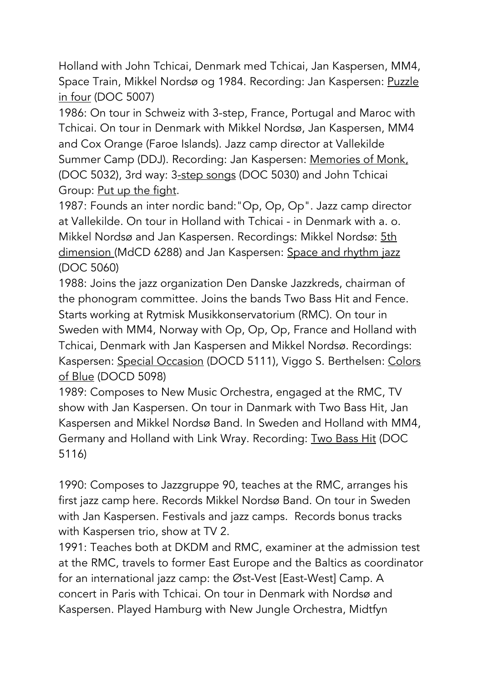Holland with John Tchicai, Denmark med Tchicai, Jan Kaspersen, MM4, Space Train, Mikkel Nordsø og 1984. Recording: Jan Kaspersen: Puzzle in four (DOC 5007)

1986: On tour in Schweiz with 3-step, France, Portugal and Maroc with Tchicai. On tour in Denmark with Mikkel Nordsø, Jan Kaspersen, MM4 and Cox Orange (Faroe Islands). Jazz camp director at Vallekilde Summer Camp (DDJ). Recording: Jan Kaspersen: Memories of Monk, (DOC 5032), 3rd way: 3-step songs (DOC 5030) and John Tchicai Group: Put up the fight.

1987: Founds an inter nordic band:"Op, Op, Op". Jazz camp director at Vallekilde. On tour in Holland with Tchicai - in Denmark with a. o. Mikkel Nordsø and Jan Kaspersen. Recordings: Mikkel Nordsø: 5th dimension (MdCD 6288) and Jan Kaspersen: Space and rhythm jazz (DOC 5060)

1988: Joins the jazz organization Den Danske Jazzkreds, chairman of the phonogram committee. Joins the bands Two Bass Hit and Fence. Starts working at Rytmisk Musikkonservatorium (RMC). On tour in Sweden with MM4, Norway with Op, Op, Op, France and Holland with Tchicai, Denmark with Jan Kaspersen and Mikkel Nordsø. Recordings: Kaspersen: Special Occasion (DOCD 5111), Viggo S. Berthelsen: Colors of Blue (DOCD 5098)

1989: Composes to New Music Orchestra, engaged at the RMC, TV show with Jan Kaspersen. On tour in Danmark with Two Bass Hit, Jan Kaspersen and Mikkel Nordsø Band. In Sweden and Holland with MM4, Germany and Holland with Link Wray. Recording: Two Bass Hit (DOC 5116)

1990: Composes to Jazzgruppe 90, teaches at the RMC, arranges his first jazz camp here. Records Mikkel Nordsø Band. On tour in Sweden with Jan Kaspersen. Festivals and jazz camps. Records bonus tracks with Kaspersen trio, show at TV 2.

1991: Teaches both at DKDM and RMC, examiner at the admission test at the RMC, travels to former East Europe and the Baltics as coordinator for an international jazz camp: the Øst-Vest [East-West] Camp. A concert in Paris with Tchicai. On tour in Denmark with Nordsø and Kaspersen. Played Hamburg with New Jungle Orchestra, Midtfyn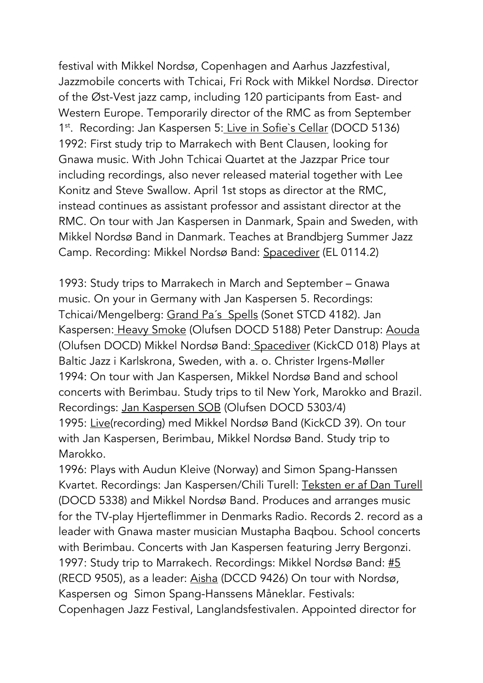festival with Mikkel Nordsø, Copenhagen and Aarhus Jazzfestival, Jazzmobile concerts with Tchicai, Fri Rock with Mikkel Nordsø. Director of the Øst-Vest jazz camp, including 120 participants from East- and Western Europe. Temporarily director of the RMC as from September 1<sup>st</sup>. Recording: Jan Kaspersen 5: Live in Sofie's Cellar (DOCD 5136) 1992: First study trip to Marrakech with Bent Clausen, looking for Gnawa music. With John Tchicai Quartet at the Jazzpar Price tour including recordings, also never released material together with Lee Konitz and Steve Swallow. April 1st stops as director at the RMC, instead continues as assistant professor and assistant director at the RMC. On tour with Jan Kaspersen in Danmark, Spain and Sweden, with Mikkel Nordsø Band in Danmark. Teaches at Brandbjerg Summer Jazz Camp. Recording: Mikkel Nordsø Band: Spacediver (EL 0114.2)

1993: Study trips to Marrakech in March and September – Gnawa music. On your in Germany with Jan Kaspersen 5. Recordings: Tchicai/Mengelberg: Grand Pa´s Spells (Sonet STCD 4182). Jan Kaspersen: Heavy Smoke (Olufsen DOCD 5188) Peter Danstrup: Aouda (Olufsen DOCD) Mikkel Nordsø Band: Spacediver (KickCD 018) Plays at Baltic Jazz i Karlskrona, Sweden, with a. o. Christer Irgens-Møller 1994: On tour with Jan Kaspersen, Mikkel Nordsø Band and school concerts with Berimbau. Study trips to til New York, Marokko and Brazil. Recordings: Jan Kaspersen SOB (Olufsen DOCD 5303/4) 1995: Live(recording) med Mikkel Nordsø Band (KickCD 39). On tour with Jan Kaspersen, Berimbau, Mikkel Nordsø Band. Study trip to Marokko.

1996: Plays with Audun Kleive (Norway) and Simon Spang-Hanssen Kvartet. Recordings: Jan Kaspersen/Chili Turell: Teksten er af Dan Turell (DOCD 5338) and Mikkel Nordsø Band. Produces and arranges music for the TV-play Hjerteflimmer in Denmarks Radio. Records 2. record as a leader with Gnawa master musician Mustapha Baqbou. School concerts with Berimbau. Concerts with Jan Kaspersen featuring Jerry Bergonzi. 1997: Study trip to Marrakech. Recordings: Mikkel Nordsø Band: #5 (RECD 9505), as a leader: Aisha (DCCD 9426) On tour with Nordsø, Kaspersen og Simon Spang-Hanssens Måneklar. Festivals: Copenhagen Jazz Festival, Langlandsfestivalen. Appointed director for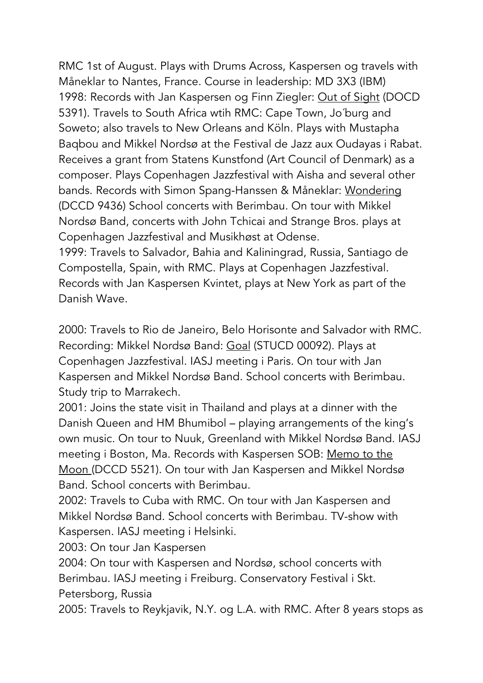RMC 1st of August. Plays with Drums Across, Kaspersen og travels with Måneklar to Nantes, France. Course in leadership: MD 3X3 (IBM) 1998: Records with Jan Kaspersen og Finn Ziegler: Out of Sight (DOCD 5391). Travels to South Africa wtih RMC: Cape Town, Jo´burg and Soweto; also travels to New Orleans and Köln. Plays with Mustapha Baqbou and Mikkel Nordsø at the Festival de Jazz aux Oudayas i Rabat. Receives a grant from Statens Kunstfond (Art Council of Denmark) as a composer. Plays Copenhagen Jazzfestival with Aisha and several other bands. Records with Simon Spang-Hanssen & Måneklar: Wondering (DCCD 9436) School concerts with Berimbau. On tour with Mikkel Nordsø Band, concerts with John Tchicai and Strange Bros. plays at Copenhagen Jazzfestival and Musikhøst at Odense.

1999: Travels to Salvador, Bahia and Kaliningrad, Russia, Santiago de Compostella, Spain, with RMC. Plays at Copenhagen Jazzfestival. Records with Jan Kaspersen Kvintet, plays at New York as part of the Danish Wave.

2000: Travels to Rio de Janeiro, Belo Horisonte and Salvador with RMC. Recording: Mikkel Nordsø Band: Goal (STUCD 00092). Plays at Copenhagen Jazzfestival. IASJ meeting i Paris. On tour with Jan Kaspersen and Mikkel Nordsø Band. School concerts with Berimbau. Study trip to Marrakech.

2001: Joins the state visit in Thailand and plays at a dinner with the Danish Queen and HM Bhumibol – playing arrangements of the king's own music. On tour to Nuuk, Greenland with Mikkel Nordsø Band. IASJ meeting i Boston, Ma. Records with Kaspersen SOB: Memo to the Moon (DCCD 5521). On tour with Jan Kaspersen and Mikkel Nordsø Band. School concerts with Berimbau.

2002: Travels to Cuba with RMC. On tour with Jan Kaspersen and Mikkel Nordsø Band. School concerts with Berimbau. TV-show with Kaspersen. IASJ meeting i Helsinki.

2003: On tour Jan Kaspersen

2004: On tour with Kaspersen and Nordsø, school concerts with Berimbau. IASJ meeting i Freiburg. Conservatory Festival i Skt.

Petersborg, Russia

2005: Travels to Reykjavik, N.Y. og L.A. with RMC. After 8 years stops as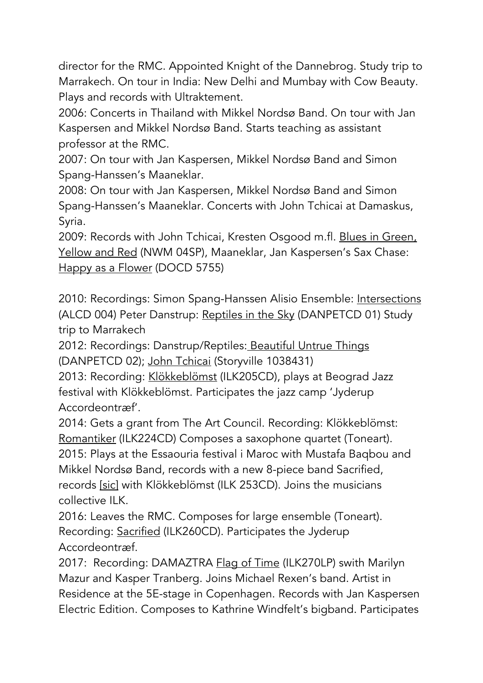director for the RMC. Appointed Knight of the Dannebrog. Study trip to Marrakech. On tour in India: New Delhi and Mumbay with Cow Beauty. Plays and records with Ultraktement.

2006: Concerts in Thailand with Mikkel Nordsø Band. On tour with Jan Kaspersen and Mikkel Nordsø Band. Starts teaching as assistant professor at the RMC.

2007: On tour with Jan Kaspersen, Mikkel Nordsø Band and Simon Spang-Hanssen's Maaneklar.

2008: On tour with Jan Kaspersen, Mikkel Nordsø Band and Simon Spang-Hanssen's Maaneklar. Concerts with John Tchicai at Damaskus, Syria.

2009: Records with John Tchicai, Kresten Osgood m.fl. Blues in Green, Yellow and Red (NWM 04SP), Maaneklar, Jan Kaspersen's Sax Chase: Happy as a Flower (DOCD 5755)

2010: Recordings: Simon Spang-Hanssen Alisio Ensemble: Intersections (ALCD 004) Peter Danstrup: Reptiles in the Sky (DANPETCD 01) Study trip to Marrakech

2012: Recordings: Danstrup/Reptiles: Beautiful Untrue Things (DANPETCD 02); John Tchicai (Storyville 1038431)

2013: Recording: Klökkeblömst (ILK205CD), plays at Beograd Jazz festival with Klökkeblömst. Participates the jazz camp 'Jyderup Accordeontræf'.

2014: Gets a grant from The Art Council. Recording: Klökkeblömst: Romantiker (ILK224CD) Composes a saxophone quartet (Toneart). 2015: Plays at the Essaouria festival i Maroc with Mustafa Baqbou and Mikkel Nordsø Band, records with a new 8-piece band Sacrified, records [sic] with Klökkeblömst (ILK 253CD). Joins the musicians collective ILK.

2016: Leaves the RMC. Composes for large ensemble (Toneart). Recording: Sacrified (ILK260CD). Participates the Jyderup Accordeontræf.

2017: Recording: DAMAZTRA Flag of Time (ILK270LP) swith Marilyn Mazur and Kasper Tranberg. Joins Michael Rexen's band. Artist in Residence at the 5E-stage in Copenhagen. Records with Jan Kaspersen Electric Edition. Composes to Kathrine Windfelt's bigband. Participates